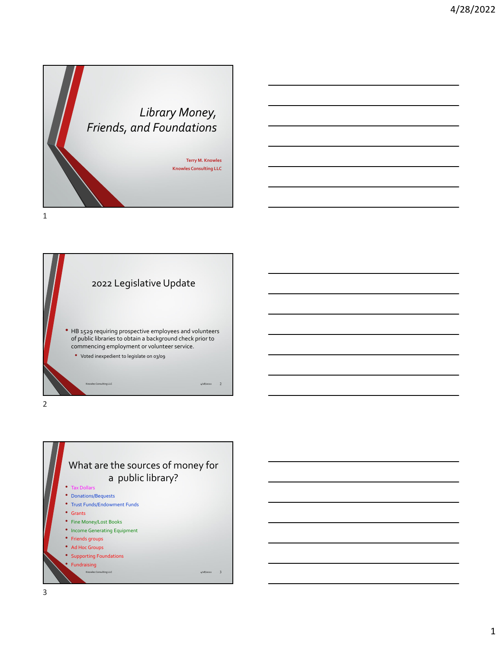



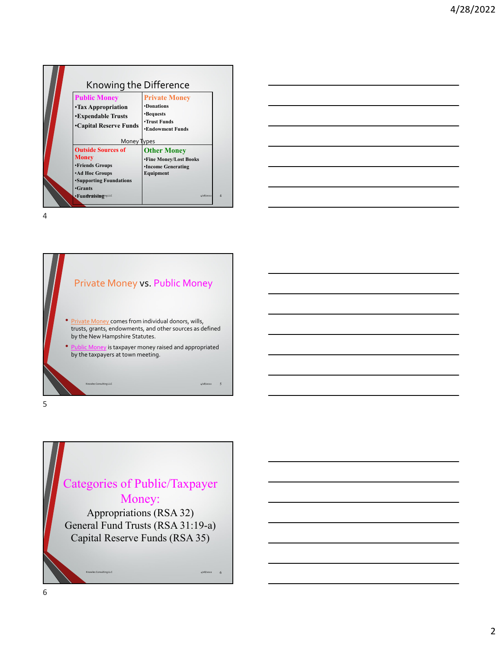| Knowing the Difference<br><b>Public Money</b><br><b>•Tax Appropriation</b><br><b>•Expendable Trusts</b><br>•Capital Reserve Funds<br>Money Types             | <b>Private Money</b><br><b>•Donations</b><br>•Bequests<br>•Trust Funds<br><b>•Endowment Funds</b>          |  |
|--------------------------------------------------------------------------------------------------------------------------------------------------------------|------------------------------------------------------------------------------------------------------------|--|
| <b>Outside Sources of</b><br><b>Money</b><br>•Friends Groups<br><b>Ad Hoc Groups</b><br><b>Supporting Foundations</b><br><b>Grants</b><br>·FundraisingingLLC | <b>Other Money</b><br><b>*Fine Money/Lost Books</b><br><b>•Income Generating</b><br>Equipment<br>4/28/2022 |  |



Categories of Public/Taxpayer Money: Appropriations (RSA 32) General Fund Trusts (RSA 31:19-a) Capital Reserve Funds (RSA 35)

Knowles Consulting LLC  $\sim$  4/28/2022 6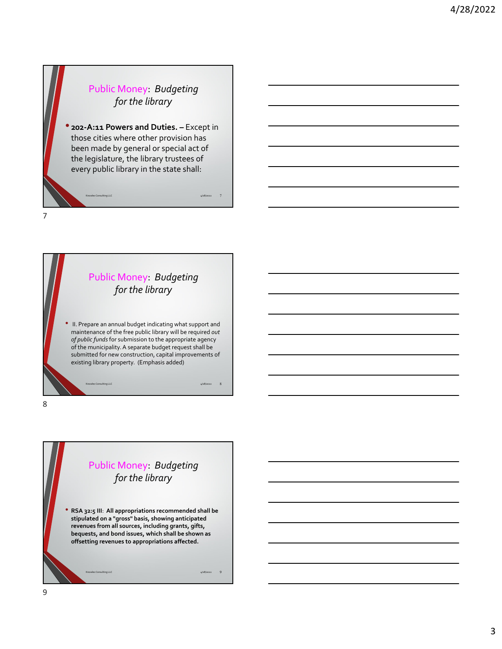#### Public Money: *Budgeting for the library*

• **<sup>202</sup>‐A:11 Powers and Duties. –** Except in those cities where other provision has been made by general or special act of the legislature, the library trustees of every public library in the state shall:

Knowles Consulting LLC  $\overline{7}$ 



maintenance of the free public library will be required *out of public funds*for submission to the appropriate agency of the municipality.A separate budget request shall be submitted for new construction, capital improvements of existing library property. (Emphasis added)

Knowles Consulting LLC 4/28/2022 8

8

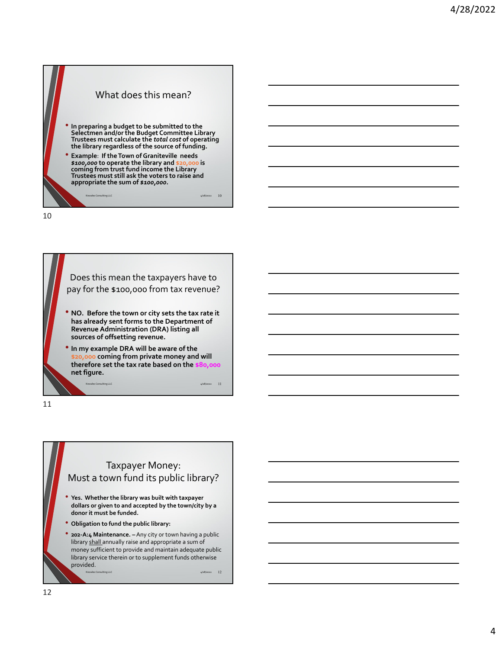# What does this mean? • **In preparing <sup>a</sup> budget to be submitted to the Selectmen and/or the Budget Committee Library Trustees must calculate the** *total cost* **of operating the library regardless of the source of funding.** • **Example**: **If theTown ofGraniteville needs** *\$100,000* **to operate the library and \$20,000 is coming from trust fund income the Library Trustees must still ask the voters to raise and appropriate the sum of** *\$100,000***.**

 $4/28/2022$  10

10

Does this mean the taxpayers have to pay for the \$100,000 from tax revenue? • **NO. Before the town or city sets the tax rate it has already sent forms to the Department of Revenue Administration (DRA) listing all sources of offsetting revenue.** • **In my example DRA will be aware of the \$20,000 coming from private money and will therefore set the tax rate based on the \$80,000 net figure.**  $4/28/2022$  11

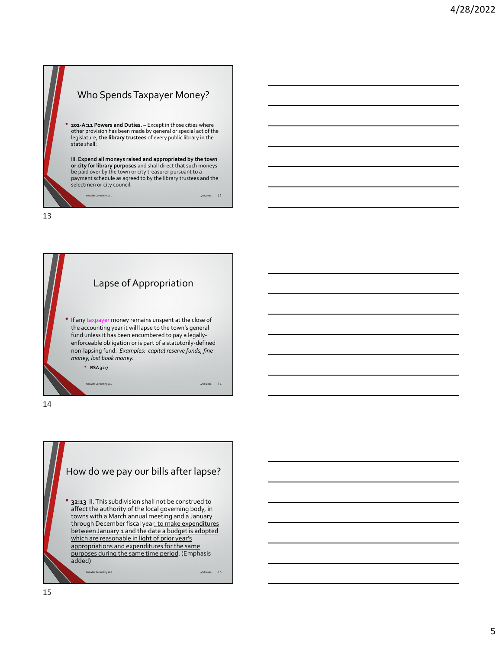



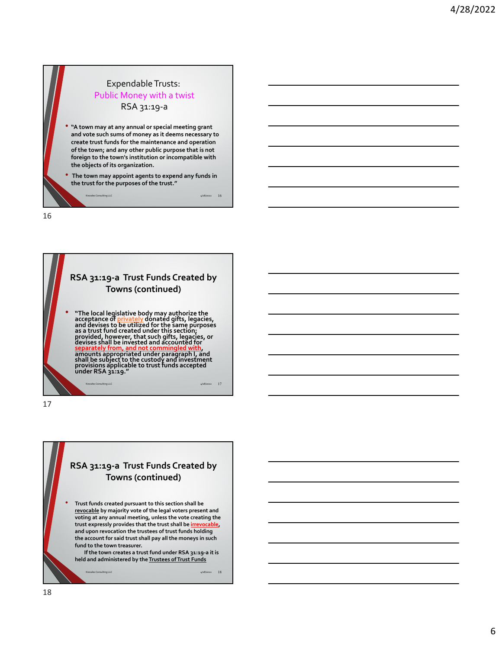



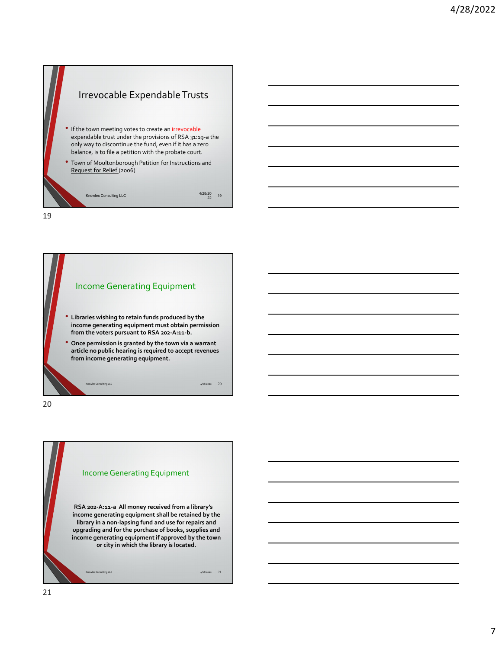



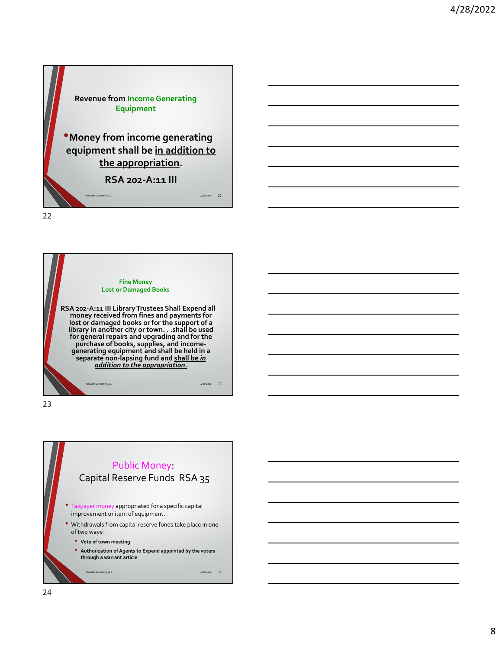



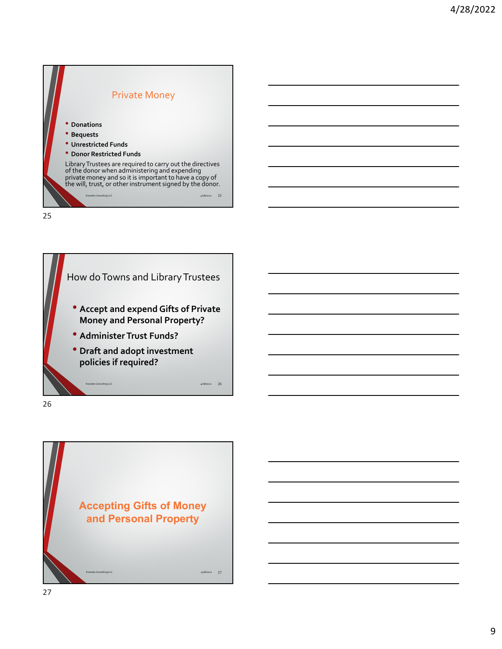



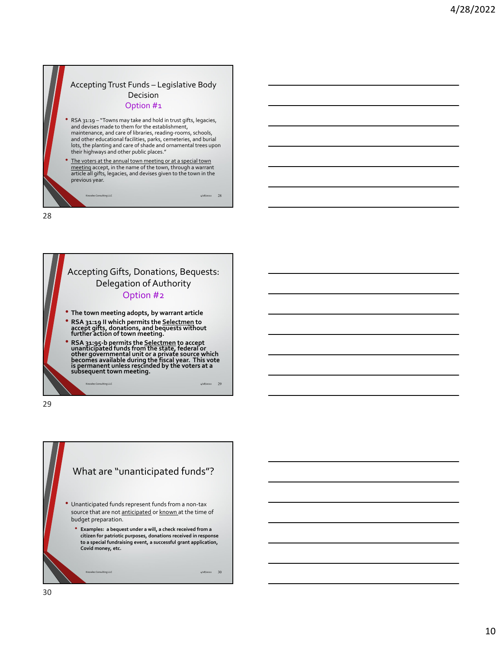



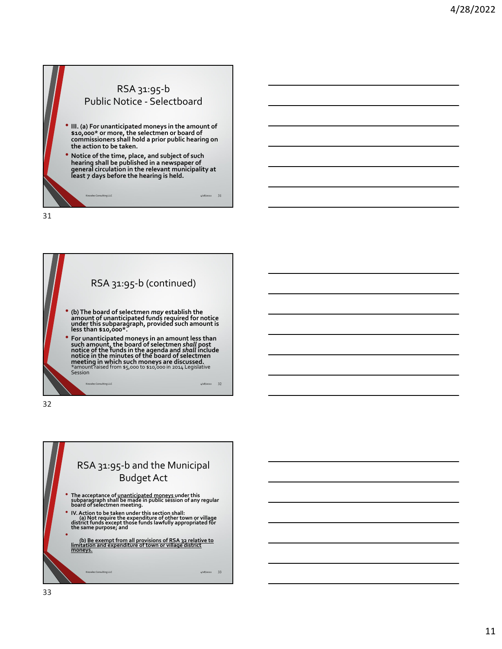



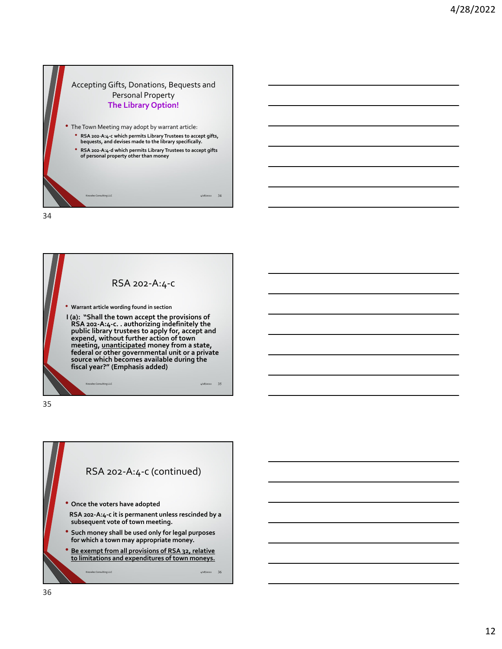

RSA 202‐A:4‐c • **Warrant article wording found in section I (a): "Shall the town accept the provisions of RSA 202‐A:4‐c. . authorizing indefinitely the public library trustees to apply for, accept and expend, without further action of town meeting, unanticipated money from a state, federal or other governmental unit or <sup>a</sup> private source which becomes available during the fiscal year?" (Emphasis added)**  $4/28/2022$  35

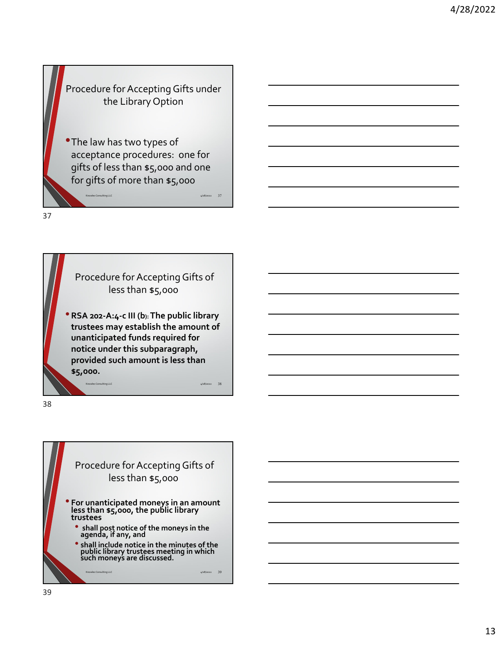#### Procedure for Accepting Gifts under the Library Option

•The law has two types of acceptance procedures: one for gifts of less than \$5,000 and one for gifts of more than \$5,000

Knowles Consulting LLC 4/28/2022 37

37

Procedure for Accepting Gifts of less than \$5,000

•**RSA <sup>202</sup>‐A:4‐<sup>c</sup> III (b):The public library trustees may establish the amount of unanticipated funds required for notice under this subparagraph, provided such amount is less than \$5,000.**

Knowles Consulting LLC 4/28/2022 38

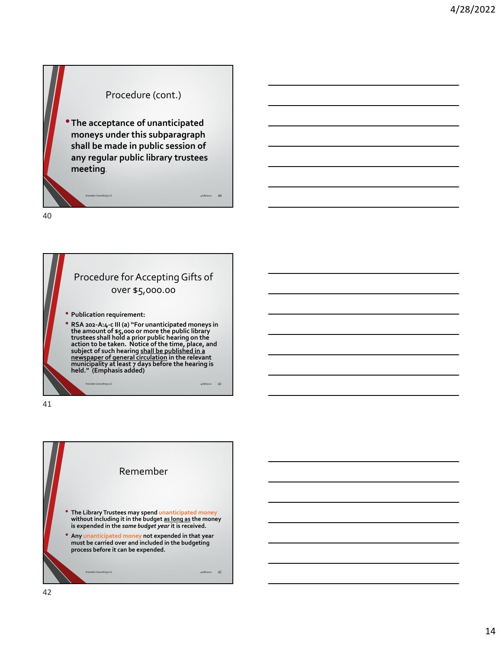#### Procedure (cont.)

•**The acceptance of unanticipated moneys under this subparagraph shall be made in public session of any regular public library trustees meeting**.

Knowles Consulting LLC  $\rm 4/28/2022 \phantom{+} 40$ 

40

### Procedure for Accepting Gifts of over \$5,000.00 • **Publication requirement:**  • RSA 202-A:4-c III (a) "For unanticipated moneys in<br>the amount of \$5,000 or more the public library **trustees shall hold a prior public hearing on the action to be taken. Notice of the time, place, and subject of such hearing shall be published in <sup>a</sup> newspaper of general circulation in the relevant municipality at least 7 days before the hearing is held." (Emphasis added)**  $4/28/2022$  41

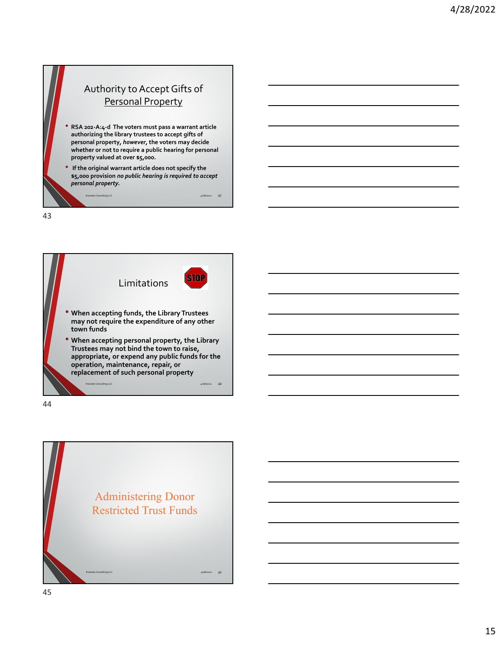



44

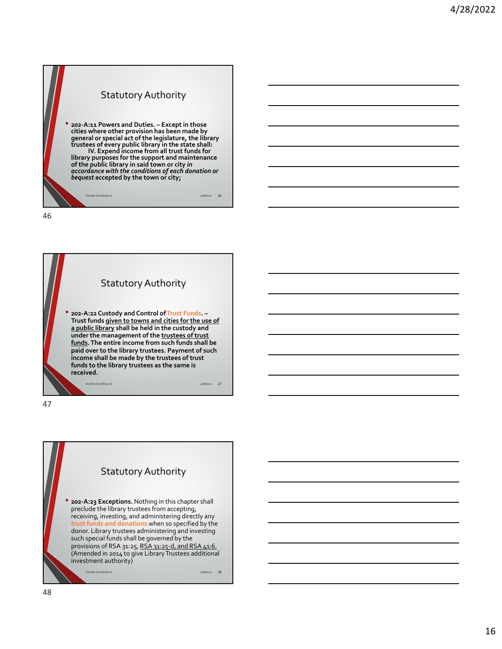#### Statutory Authority • **<sup>202</sup>‐A:11 Powers and Duties. – Except in those cities where other provision has been made by general or special act of the legislature, the library trustees of every public library in the state shall: IV. Expend income from all trust funds for library purposes for the support and maintenance of the public library in said town or city** *in accordance with the conditions of each donation or bequest* **accepted by the town or city;**  $\mu$ LLC  $\mu$ /28/2022 46



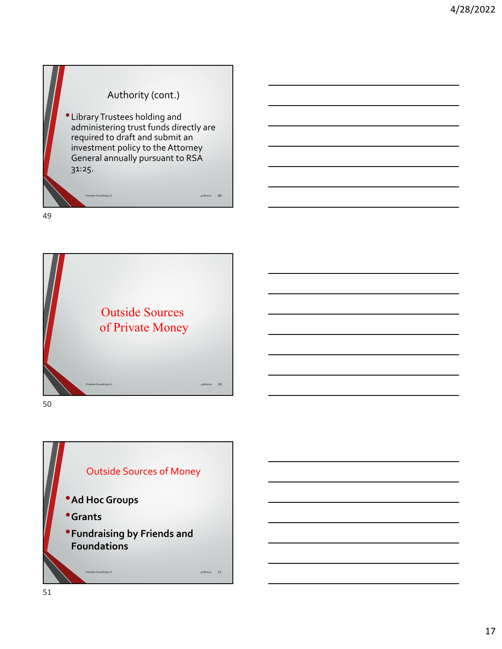#### Authority (cont.)

•LibraryTrustees holding and administering trust funds directly are required to draft and submit an investment policy to the Attorney General annually pursuant to RSA 31:25.

Knowles Consulting LLC and the consulting LLC and the consulting of the consulting  $\frac{4}{2}$ 8/2022 49

49



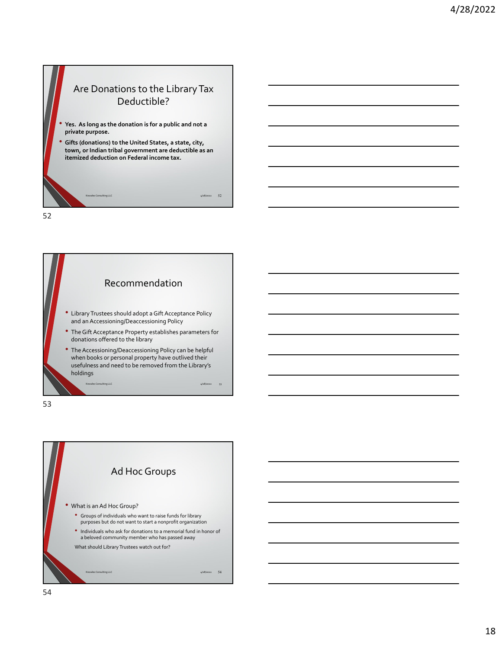



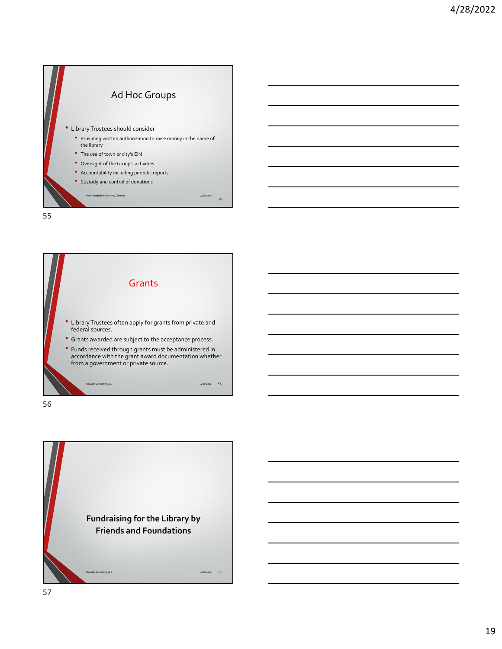



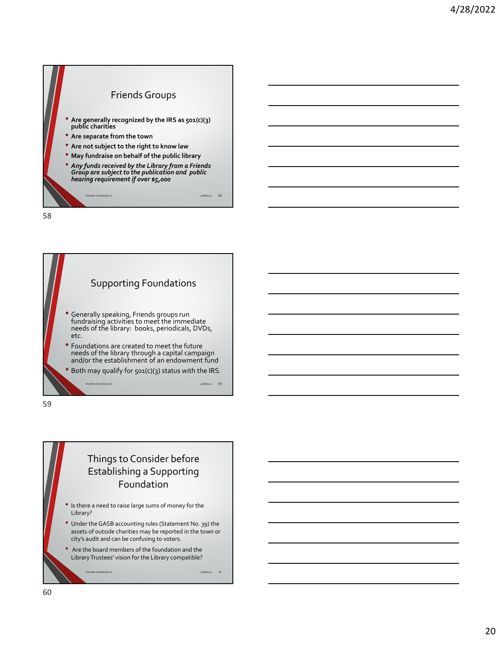



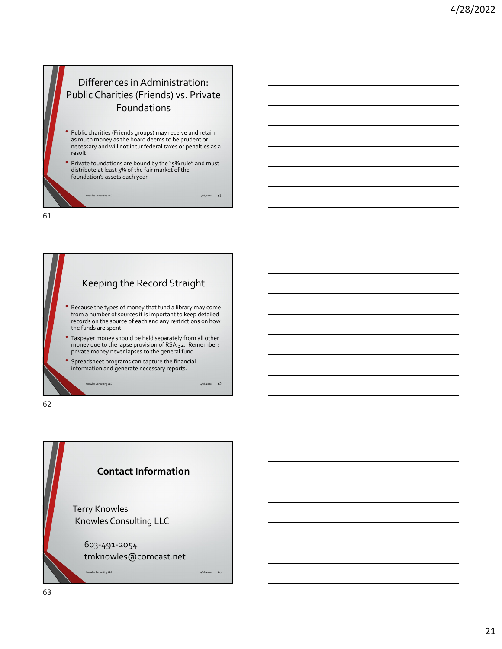## Differences in Administration: Public Charities (Friends) vs. Private Foundations

- Public charities (Friends groups) may receive and retain as much money as the board deems to be prudent or necessary and will not incur federal taxes or penalties as a result
- Private foundations are bound by the "5% rule" and must distribute at least 5% of the fair market of the foundation's assets each year.

Knowles Consulting LLC 4/28/2022 61

61